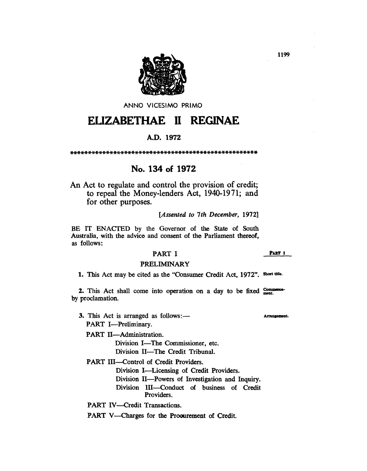

ANNO VICESIMO PRIMO

# EUZABETHAE 11 REGINAE

# A.D. 1972

\*\*\*\*\*\*\*\*\*\*\*\*\*\*\*\*\*\*\*\*\*\*\*\*\*\*\*\*\*\*\*\*\*\*\*\*\*\*\*\*\*\*\*\*\*\*\*\*\*\*\*\*

# No. 134 of 1972

An Act to regulate and control the provision of credit; to repeal the Money-lenders Act, 1940-1971; and for other purposes.

*[Assented to 7th December, 1972]* 

BE IT ENACTED by the Governor of the State of South Australia, with the advice and consent of the Parliament thereof, as follows:

### PART I

PRELIMINARY

1. This Act may be cited as the "Consumer Credit Act, 1972". Short title.

2. This Act shall come into operation on a day to be fixed  $_{\text{meas}}^{\text{Common}}$ by proclamation.

3. This Act is arranged as follows:—

PART I-Preliminary.

PART II-Administration.

Division I-The Commissioner, etc. Division II-The Credit Tribunal.

PART III--Control of Credit Providers.

Division I-Licensing of Credit Providers.

Division II-Powers of Investigation and Inquiry. Division lII-Conduct of business of Credit Providers.

PART IV-Credit Transactions.

PART V—Charges for the Procurement of Credit.

1199

PART I

Arrangement.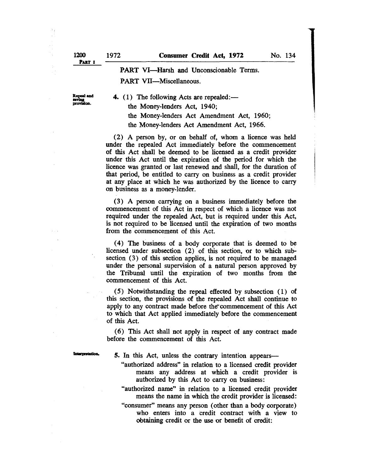# PART VI-Harsh and Unconscionable Terms. PART VII-Miscellaneous.

Repeal and<br>saving<br>provision.

4. (1) The following Acts are repealed: the Money-lenders Act, 1940;

> the Money-lenders Act Amendment Act, 1960; the Money-lenders Act Amendment Act, 1966.

(2) A person by, or on behalf of, whom a licence was held under the repealed Act immediately before the commencement of this Act shall be deemed to be licensed as a credit provider under this Act until the expiration of the period for which the licence was granted or last renewed and shall, for the duration of that period, be entitled to carry on business as a credit provider at any place at which he was authorized by the licence to carry on business as a money-lender.

(3) A person carrying on a business immediately before the commencement of this Act in respect of which a licence was not required under the repealed Act, but is required under this Act, is not required to be licensed until the expiration of two months from the commencement of this Act.

( 4) The business of a body corporate that is deemed to be licensed under subsection (2) of this section, or to which subsection (3) of this section applies, is not required to be managed under the personal supervision of a natural person approved by the Tribunal until the expiration of two months from the commencement of this Act.

(5) Notwithstanding the repeal effected by subsection (1) of this section, the provisions of the repealed Act shall continue to apply to any contract made before the commencement of this Act to which that Act applied immediately before the commencement of this Act.

(6) This Act shall not apply in respect of any contract made before the commencement of this Act.

**Interpretation** 

5. In this Act, unless the contrary intention appears—

- "authorized address" in relation to a licensed credit provider means any address at which a credit provider is authorized by this Act to carry on business:
- "authorized name" in relation to a licensed credit provider means the name in which the credit provider is licensed:
- "consumer" means any person (other than a body corporate) who enters into a credit contract with a view to obtaining credit or the use or benefit of credit: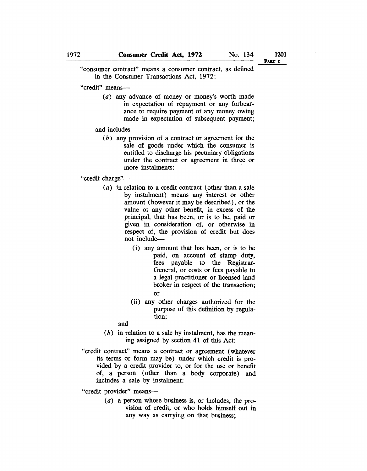1201 PART I

"consumer contract" means a consumer contract, as defined in the Consumer Transactions Act, 1972:

"credit" means-

(a) any advance of money or money's worth made in expectation of repayment or any forbearance to require payment of any money owing made in expectation of subsequent payment;

and includes-

(b) any provision of a contract or agreement for the sale of goods under which the consumer is entitled to discharge his pecuniary obligations under the contract or agreement in three or more instalments:

"credit charge"-

- (a) in relation to a credit contract (other than a sale by instalment) means any interest or other amount (however it may be described), or the value of any other benefit, in excess of the principal, that has been, or is to be, paid or given in consideration of, or otherwise in respect of, the provision of credit but does not include-
	- (i) any amount that has been, or is to be paid, on account of stamp duty, fees payable to the Registrar-General, or costs or fees payable to a legal practitioner or licensed land broker in respect of the transaction; or
	- (ii) any other charges authorized for the purpose of this definition by regulation;

and

- $(b)$  in relation to a sale by instalment, has the meaning assigned by section 41 of this Act:
- "credit contract" means a contract or agreement (whatever its terms or form may be) under which credit is provided by a credit provider to, or for the use or benefit of, a person ( other than a body corporate) and includes a sale by instalment:

"credit provider" means-

(a) a person whose business is, or includes, the provision of credit, or who holds himself out in any way as carrying on that business;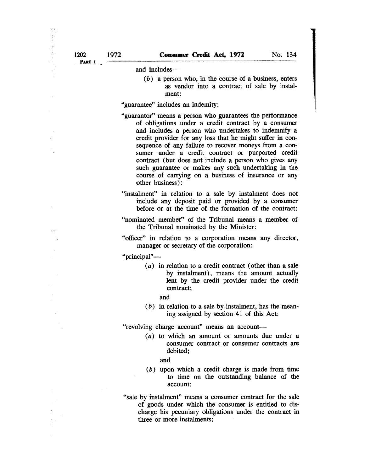\$Ķ. 花花

and includes-

 $(b)$  a person who, in the course of a business, enters as vendor into a contract of sale by instalment:

"guarantee" includes an indemity:

- "guarantor" means a person who guarantees the performance of obligations under a credit contract by a consumer and includes a person who undertakes to indemnify a credit provider for any loss that he might suffer in consequence of any failure to recover moneys from a consumer under a credit contract or purported credit contract (but does not include a person who gives any such guarantee or makes any such undertaking in the course of carrying on a business of insurance or any other business):
- "instalment" in relation to a sale by instalment does not include any deposit paid or provided by a consumer before or at the time of the formation of the contract:
- "nominated member" of the Tribunal means a member of the Tribunal nominated by the Minister:
- "officer" in relation to a corporation means any director, manager or secretary of the corporation:

"principal"-

 $(a)$  in relation to a credit contract (other than a sale by instalment), means the amount actually lent by the credit provider under the credit contract;

and

 $(b)$  in relation to a sale by instalment, has the meaning assigned by section 41 of this Act:

"revolving charge account" means an account-

(a) to which an amount or amounts due under a consumer contract or consumer contracts are debited;

and

- (b) upon which a credit charge is made from time to time on the outstanding balance of the account:
- "sale by instalment" means a consumer contract for the sale of goods under which the consumer is entitled to discharge his pecuniary obligations under the contract in three or more instalments: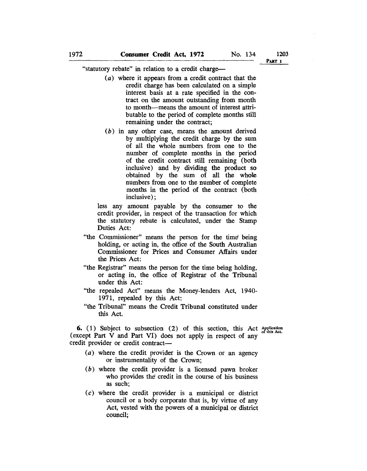*lW3*  Part i

"statutory rebate" in relation to a credit charge-

- (a) where it appears from a credit contract that the credit charge has been calculated on a simple interest basis at a rate specified in the contract on the amount outstanding from month to month-means the amount of interest attributable to the period of complete months still remaining under the contract;
- (b) in any other case, means the amount derived by mUltiplying the! credit charge by the sum of all the whole numbers from one to the number of complete months in the period of the credit contract still remaining (both inclusive) and by dividing the product so obtained by the sum of all the whole numbers from one to the number of complete months in the period of the contract (both inclusive) ;

less any amount payable by the consumer to the credit provider, in respect of the transaction for which the statutory rebate is calculated, under the Stamp Duties Act:

- "the Commissioner" means the person for the time' being holding, or acting in, the office of the South Australian Commissioner for Prices and Consumer Affairs under the Prices Act:
- "the Registrar" means the person for the time being holding, or acting in, the office of Registrar of the Tribunal under this Act:
- "the repealed Act" means the Money-lenders Act, 1940- 1971, repealed by this Act:
- "the Tribunal" means the Credit Tribunal constituted under this Act.

**6.** (1) Subject to subsection (2) of this section, this Act Application of this Act. (except Part V and Part VI) does not apply in respect of any credit provider or credit contract-

- (a) where the credit provider is the Crown or an agency or instrumentality of the Crown;
- (b) where the credit provider is a licensed pawn broker who provides the' credit in the course of his business as such;
- (c) where the credit provider is a municipal or district council or a body corporate that is, by virtue of any Act, vested with the powers of a municipal or district council;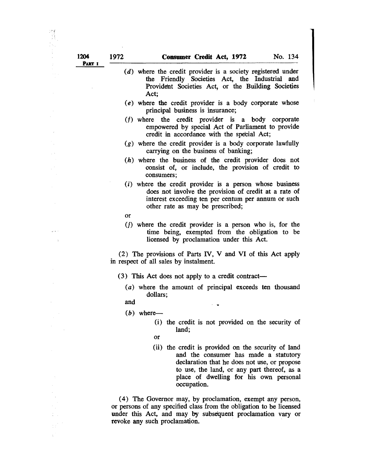- (d) where the credit provider is a society registered under the Friendly Societies Act, the Industrial and Provident Societies Act, or the Building Societies Act;
- (e) where the credit provider is a body corporate whose principal business is insurance;
- *(I)* where the credit provider is a body corporate empowered by special Act of Parliament to provide credit in accordance with the special Act;
- (g) where the credit provider is a body corporate lawfully carrying on the business of banking;
- (h) where the business of the credit provider does not oonsist of, or include, the provision of credit to consumers;
- (i) where the credit provider is a person whose business does not involve the provision of credit at a rate of interest exceeding ten per centum per annum or such other rate as may be prescribed;
- or
- (j) where the credit provider is a person who is, for the time being, exempted from the obligation to be licensed by proclamation under this Act.

(2) The provisions of Parts *N,* V and VI of this Act apply in respect of all sales by instalment.

- (3) This Act does not apply to a credit contract-
	- (a) where the amount of principal exceeds ten thousand dollars;

 $\sim$   $\sim$ 

- and
- $(b)$  where-
	- (i) the credit is not provided on the security of land;
	- or
	- (ii) the credit is provided on the security of land and the consumer has made a statutory declaration that he does not use, or propose to use, the land, or any part thereof, as a place of dwelling for his own personal occupation.

(4) The Governor may, by proclamation, exempt any person, or persons of any specified class from the obligation to be licensed under this Act, and may by subsequent proclamation vary or revoke any such proclamation.

 $\mathcal{L}$ 

 $\gamma$  (e  $\gamma$ 

 $\bar{z}$ 

 $\omega \propto \omega$ 

 $\frac{1}{2}$  . ΨÊ  $\chi^2$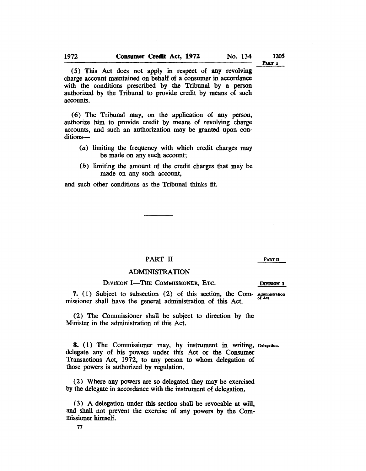1205 PART 1

(5) This Act does not apply in respect of any revolving charge account maintained on behalf of a consumer in accordance with the conditions prescribed by the Tribunal by a person authorized by the Tribunal to provide credit by means of such accounts.

(6) The Tribunal may, on the application of any person, authorize him to provide credit by means of revolving charge accounts, and such an authorization may be granted upon conditions-

- (a) limiting the frequency with which credit charges may be made on any such account;
- (b) limiting the amount of the credit charges that may be made on any such account,

and such other conditions as the Tribunal thinks fit.

### PART II

#### PART II

### ADMINISTRATION

### DIVISION I-THE COMMISSIONER, ETC.

7. (1) Subject to subsection (2) of this section, the Com-Administration of Act. missioner shall have the general administration of this Act.

(2) The Commissioner shall be subject to direction by the Minister in the administration of this Act.

8. (1) The Commissioner may, by instrument in writing, Delegation. delegate any of his powers under this Act or the Consumer Transactions Act, 1972, to any person to whom delegation of those powers is authorized by regulation.

(2) Where any powers are so delegated they may be exercised by the delegate in accordance with the instrument of delegation.

(3) A delegation under this section shall be revocable at will, and shall not prevent the exercise of any powers by the Commissioner himself.

77

DIVISION 1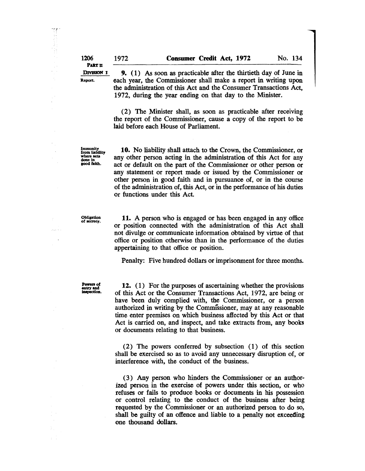| 1206<br>PART II | 1972 | <b>Consumer Credit Act, 1972</b>                                                                                                     |  | No. 134 |  |
|-----------------|------|--------------------------------------------------------------------------------------------------------------------------------------|--|---------|--|
| DIVISION 1      |      | 9. (1) As soon as practicable after the thirtieth day of June in                                                                     |  |         |  |
| Report.         |      | each year, the Commissioner shall make a report in writing upon<br>the administration of this Act and the Consumer Transactions Act, |  |         |  |
|                 |      | 1972, during the year ending on that day to the Minister.                                                                            |  |         |  |

(2) The Minister shall, as soon as practicable after receiving the report of the Commissioner, cause a copy of the report to be laid before each House of Parliament.

Immunity from liability where acts done in good faith.

10. No liability shall attach to the Crown, the Commissioner, or any other person acting in the administration of this Act for any act or default on the part of the Commissioner or other person or any statement or report made or issued by the Commissioner or other person in good faith and in pursuance of, or in the course of the administration of, this Act, or in the performance of his duties or functions under this Act.

Obligation of secrecy.

Service.

11. A person who is engaged or has been engaged in any office or position connected with the administration of this Act shall not divulge or communicate information obtained by virtue of that office or position otherwise than in the performance of the duties appertaining to that office or position.

Penalty: Five hundred dollars or imprisonment for three months.

Powers of<br>entry and<br>inspection.

12. (1) For the purposes of ascertaining whether the provisions of this Act or the Consumer Transactions Act, 1972, are being or have been duly complied with, the Commissioner, or a person authorized in writing by the Commissioner, may at any reasonable time enter premises on which business affected by this Act or that Act is carried on, and inspect, and take extracts from, any books or documents relating to that business.

(2) The powers conferred by subsection ( 1) of this section shall be exercised so as to avoid any unnecessary disruption of, or interference with, the conduct of the business.

(3) Any person who hinders the Commissioner or an authorized person in the exercise of powers under this section, or who refuses or fails to produce books or documents in his possession or control relating to the conduct of the business after being requested by the Commissioner or an authorized person to do so, shall be guilty of an offence and liable to a penalty not exceeding one thousand dollars.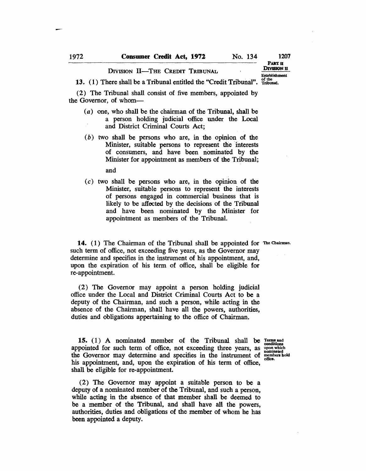## DIVISION II-THE CREDIT TRIBUNAL

PART II DIVISION H Establishment

1207

13. (1) There shall be a Tribunal entitled the "Credit Tribunal".  $\frac{\text{of the}}{\text{Tribunal}}$ 

(2) The Tribunal shall consist of five members, appointed by the Governor, of whom-

- (a) one, who shall be the chairman of the Tribunal, shall be a person holding judicial office under the Local and District Criminal Courts Act;
- $(b)$  two shall be persons who are, in the opinion of the Minister, suitable persons to represent the interests of consumers, and have been nominated by the Minister for appointment as members of the Tribunal; and
- $(c)$  two shall be persons who are, in the opinion of the Minister, suitable persons to represent the interests of persons engaged in commercial business that is likely to be affected by the decisions of the Tribunal and have been. nominated by the Minister for appointment as members of the Tribunal.

14. (1) The Chairman of the Tribunal shall be appointed for The Chairman. such term of office, not exceeding five years, as the Governor may determine and specifies in the instrument of his appointment, and, upon the expiration of his term of office, shall be eligible for re-appointment.

(2) The Governor may appoint a person holding judicial office under the Local and District Criminal Courts Act to be a deputy of the Chairman, and such a person, while acting in the absence of the Chairman, shall have all the powers, authorities, duties and obligations appertaining to the office of Chairman.

15. (1) A nominated member of the Tribunal shall be  $T_{\text{c}}^{rems}$  and appointed for such term of office, not exceeding three years, as  $\frac{1}{1000}$  which the Governor may determine and specifies in the instrument of members hold his appointment, and, upon the expiration of his term of office, shall be eligible for re-appointment.

(2) The Governor may appoint a suitable person to be a deputy of a nominated member of the Tribunal, and such a person, while acting in the absence of that member shall be deemed to be a member of the Tribunal, and shall have all the powers, authorities, duties and obligations of the member of whom he has been appointed a deputy.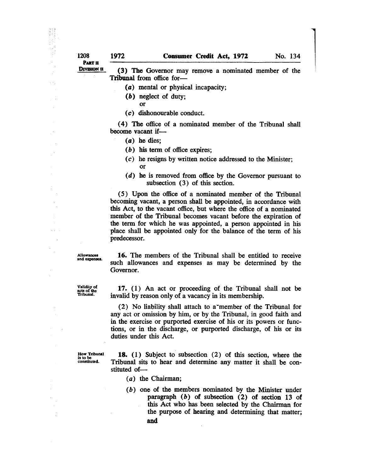DIVISION II

 $\gamma \rightarrow \gamma$ 

 $\dot{\alpha}$  as  $\overline{1}$ 

(3) The Governor may remove a nominated member of the Tribunal from office for-

- (a) mental or physical incapacity;
- (b) neglect of duty;
	- or
- (c) dishonourable conduct.

( 4) The office of a nominated member of the Tribunal shall become vacant if-

- (a) he dies;
- (b) his term of office expires;
- $(c)$  he resigns by written notice addressed to the Minister; or
- (d) he is removed from office by the Governor pursuant to subsection (3) of this section.

(5) Upon the office of a nominated member of the Tribunal becoming vacant, a person shall be appointed, in accordance with this Act, to the vacant office, but where the office of a nominated member of the Tribunal becomes vacant before the expiration of the term for which he was appointed, a person appointed in his place shall be appointed only for the balance of the term of his predecessor.

**Allowances** and expenses.

16. The members of the Tribunal shall be entitled to receive such allowances and expenses as may be determined by the Governor.

Validity of acts of the Tribunal.

17. (1) An act or proceeding of the Tribunal shall not be invalid by reason only of a vacancy in its membership.

(2) No liability shall attach to a-member of the Tribunal for any act or omission by him, or by the Tribunal, in good faith and in the exercise or purported exercise of his or its powers or functions, or in the discharge, or purported discharge, of his or its duties under this Act.

How Tribunal is to be constituted.

18. (1) Subject to subsection (2) of this section, where the Tribunal sits to hear and determine any matter it shall be constituted of-

- (a) the Chairman;
- (b) one of the members nominated by the Minister under paragraph (b) of subsection (2) of section 13 of this Act who has been selected by the Chairman for the purpose of hearing and determining that matter; and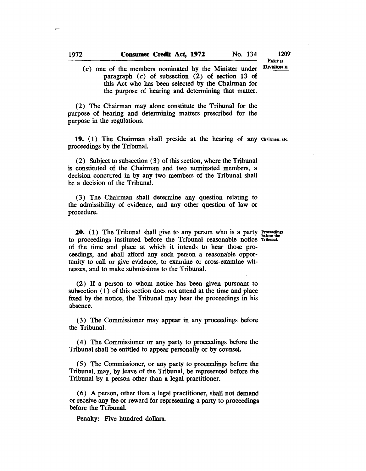PART<sub>n</sub> DIVISION II

1209'

(c) one of the members nominated by the Minister under paragraph (c) of subsection (2) of section 13 of this Act who has been selected by the Chairman for the purpose of hearing and determining that matter.

(2) The Chairman may alone constitute the Tribunal for the purpose of hearing and determining matters prescribed for the purpose in the regulations.

19. (1) The Chairman shall preside at the hearing of any Chairman, etc. proceedings by the Tribuna1.

(2) Subject to subsection (3) of this section, where the Tribunal is constituted of the Chairman and two nominated members, a decision concurred in by any two members of the Tribunal shall be a decision of the Tribuna1.

(3) The Chairman shall determine any question relating to the admissibility of evidence, and any other question of law or procedure.

**20.** (1) The Tribunal shall give to any person who is a party proceeding to proceedings instituted before the Tribunal reasonable notice Tribunal. of the time and place at which it intends to hear those proceedings, and shall afford any such person a reasonable opportunity to call or give evidence, to examine or cross-examine witnesses, and to make submissions to the Tribunal.

(2) If a person to whom notice has been given pursuant to subsection (1) of this section does not attend at the time and place fixed by the notice, the Tribunal may hear the proceedings in his absence.

(3) The Commissioner may appear in any proceedings before the Tribuna1.

( 4) The Commissioner or any party to proceedings before the Tribunal shall be entitled to appear personally or by counsel.

(5) The Commissioner, or any party to proceedings before the Tribunal, may, by leave of the Tribunal, be represented before the Tribunal by a person other than a legal practitioner.

( 6) A person, other than a legal practitioner, shall not demand or receive any fee or reward for representing a party to proceedings before the Tribunal.

Penalty: Five hundred dollars.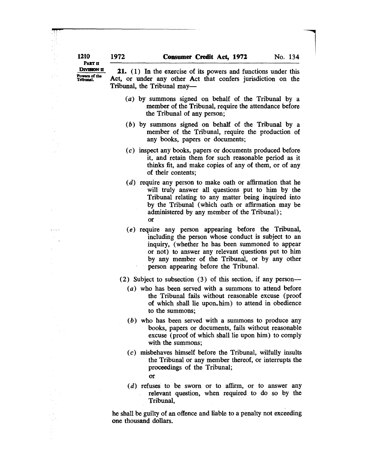PART II

**up;** . <sup>~</sup>:

 $\sim$   $\sim$ 

.<br>Geboorte

 $\overline{\phantom{a}}$ 

DIVISION II Powers of the<br>Tribunal. 21. (1) In the exercise of its powers and functions under this Act, or under any other Act that confers jurisdiction on the Tribunal, the Tribunal may-

- $(a)$  by summons signed on behalf of the Tribunal by a member of the Tribunal, require the attendance before the Tribunal of any person;
- (b) by summons signed on behalf of the Tribunal by a member of the Tribunal, require the production of any books, papers or documents;
- (c) inspect any books, papers or documents produced before it, and retain them for such reasonable period as it thinks fit, and make copies of any of them, or of any of their contents;
- (d) require any person to make oath or affirmation that he will truly answer all questions put to him by the Tribunal relating to any matter being inquired into by the Tribunal (which oath or affirmation may be administered by any member of the Tribunal); or
- (e) require any person appearing before the Tribunal, including the person whose conduct is subject to an inquiry, (whether he has been summoned to appear or not) to answer any relevant questions put to him by any member of the Tribunal, or by any other person appearing before the Tribunal.
- (2) Subject to subsection (3) of this section, if any person-
	- (a) who has been served with a summons to attend before the Tribunal fails without reasonable excuse (proof of which shall lie upon.him) to attend in obedience to the summons;
	- (b) who has been served with a summons to produce any books, papers or documents, fails without reasonable excuse (proof of which shall lie upon him) to comply with the summons;
	- (c) misbehaves himself before the Tribunal, wilfully insults the Tribunal or any member thereof, or interrupts the proceedings of the Tribunal;

or

 $(d)$  refuses to be sworn or to affirm, or to answer any relevant question, when required to do so by the Tribunal,

he shall be guilty of an offence and liable to a penalty not exceeding one thousand dollars.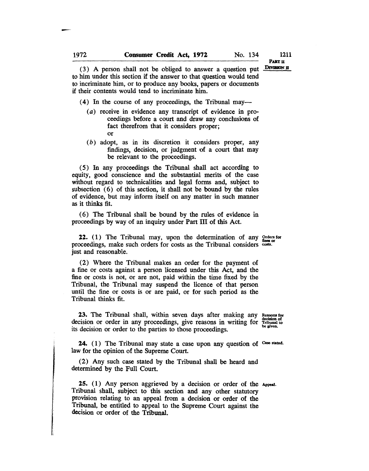PART<sub>II</sub> DIVl8ION JI

1211

(3) A person shall not be obliged to answer a question put to him under this section if the answer to that question would tend to incriminate him, or to produce any books, papers or documents if their contents would tend to incriminate him.

(4) In the course of any proceedings, the Tribunal may—

- (a) receive in evidence any transcript of evidence in proceedings before a court and draw any conclusions of fact therefrom that it considers proper; or
- (b) adopt, as in its discretion it considers proper, any findings, decision, or judgment of a court that may be relevant to the proceedings.

(5) In any proceedings the Tribunal shall act according to equity, good conscience and the substantial merits of the case without regard to technicalities and legal forms and, subject to subsection (6) of this section, it shall not be bound by the rules of evidence, but may inform itself on any matter in such manner as it thinks fit.

( 6) The Tribunal shall be bound by the rules of evidence in proceedings by way of an inquiry under Part III of this Act.

**22.** (1) The Tribunal may, upon the determination of any  $Q$  rders for proceedings, make such orders for costs as the Tribunal considers costs. just and reasonable.

(2) Where the Tribunal makes an order for the payment of a fine or costs against a person licensed under this Act, and the fine or costs is not, or are not, paid within the time fixed by the Tribunal, the Tribunal may suspend the licence of that person until the fine or costs is or are paid, or for such period as the Tribunal thinks fit.

23. The Tribunal shall, within seven days after making any Reasons for decision or order in any proceedings, give reasons in writing for Tribunal to its decision or order to the parties to those proceedings.

24. (1) The Tribunal may state a case upon any question of Case stated. law for the opinion of the Supreme Court.

(2) Any such case stated by the Tribunal shall be heard and determined by the Full Court.

25. (1) Any person aggrieved by a decision or order of the Appeal. Tribunal shall, subject to this section and any other statutory provision relating to an appeal from a decision or order of the Tribunal, be entitled to appeal to the Supreme Court against the decision or order of the Tribunal.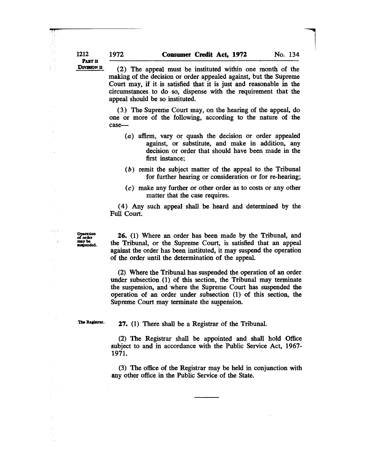PART II DIVISION II

4'fr ;

 $\bar{\beta}$ 

(2) The appeal must be instituted within one month of the making of the decision or order appealed against, but the Supreme Court may, if it is satisfied that it is just and reasonable in the circumstances to do so, dispense with the requirement that the appeal should be so instituted.

 $\overline{\phantom{a}}$ 

(3) The Supreme Court may, on the hearing of the appeal, do one or more of the following, according to the nature of the case-

- (a) affirm, vary or quash the decision or order appealed against, or substitute, and make in addition, any decision or order that should have been made in the first instance;
- (b) remit the subject matter of the appeal to the Tribunal for further hearing or consideration or for re-hearing;
- (c) make any further or other order as to costs or any other matter that the case requires.

( 4) Any such appeal shall be heard and determined by the Full Court.

Operation<br>of order may be suspended.

 $\ddot{\phantom{1}}$ 

 $\mathbb{R}^3$ 

 $\frac{1}{2}$ 

26. (1) Where an order has been made by the Tribunal, and the Tribunal, or the Supreme Court, is satisfied that an appeal against the order has been instituted, it may suspend the operation of the order until the determination of the appeal.

(2) Where the Tribunal has suspended the operation of an order under subsection (1) of this section, the Tribunal may terminate the suspension, and where the Supreme Court has suspended the operation of an order under subsection (1) of this section, the Supreme Court may terminate the suspension.

The Registrar.

27. (1) There shall be a Registrar of the Tribunal.

(2) The Registrar shall be appointed and shall hold Office subject to and in accordance with the Public Service Act, 1967- 1971.

(3) The office of the Registrar may be held in conjunction with any other office in the Public Service of the State.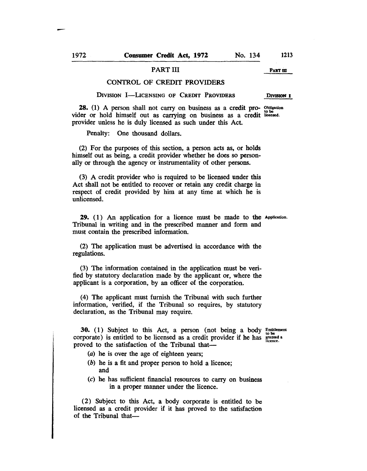### PART III PART III

### CONTROL OF CREDIT PROVIDERS

DIVISION I-LICENSING OF CREDIT PROVIDERS DIVISION I

28. (1) A person shall not carry on business as a credit pro- Obligation vider or hold himself out as carrying on business as a credit licensed. provider unless he is duly licensed as such under this Act.

Penalty: One thousand dollars.

(2) For the purposes of this section, a person acts as, or holds himself out as being, a credit provider whether he does so personally or through the agency or instrumentality of other persons.

(3) A credit provider who is required to be licensed under this Act shall not be entitled to recover or retain any credit charge in respect of credit provided by him at any time at which he is unlicensed.

29. ( 1) An application for a licence must be made to the Application. Tribunal in writing and in the prescribed manner and form and must contain the prescribed information.

(2) The application must be advertised in accordance with the regulations.

(3) The information contained in the application must be verified by statutory declaration made by the applicant or, where the applicant is a corporation, by an officer of the corporation.

(4) The applicant must furnish the Tribunal with such further information, verified, if the Tribunal so requires, by statutory declaration, as the Tribunal may require.

30. (1) Subject to this Act, a person (not being a body  $E_n$  is the set corporate) is entitled to be licensed as a credit provider if he has  $\frac{\text{grame at 00G}}{\text{linear}}$ . proved to the satisfaction of the Tribunal that—

- (a) he is over the age of eighteen years;
- (b) he is a fit and proper person to hold a licence; and
- (c) he has sufficient financial resources to carry on business in a proper manner under the licence.

(2) Subject to this Act, a body corporate is entitled to be licensed as a credit provider if it has proved to the satisfaction of the Tribunal that-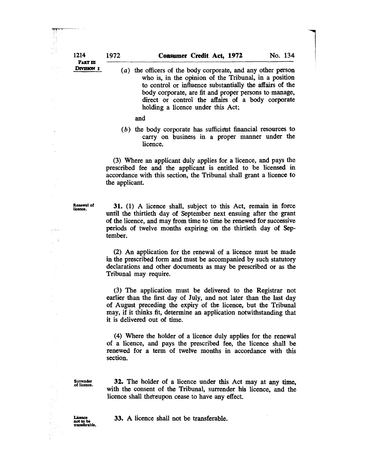to control or influence substantially the affairs of the body corporate, are fit and proper persons to manage, direct or control the affairs of a body corporate holding a licence under this Act;

l

and

(b) the body corporate has sufficient financial resources to carry on business in a proper manner under the licence.

(3) Where an applicant duly applies for a licence, and pays the prescribed fee and the applicant is entitled to be licensed in accordance with this section, the Tribunal shall grant a licence to the applicant.

Renewal of licence.

in Au

 $\frac{1}{2}$  is  $\frac{1}{2}$  .  $\omega$ 

31. (1) A licence shall, subject to this Act, remain in force until the thirtieth day of September next ensuing after the grant of the licence, and may from time to time be renewed for successive periods of twelve months expiring on the thirtieth day of September.

(2) An application for the renewal of a licence must be made in the prescribed form and must be accompanied by such statutory declarations and other documents as may be prescribed or as the Tribunal may require.

(3) The application must be delivered to the Registrar not earlier than the first day of July, and not later than the last day of August preceding the expiry of the licence, but the Tribunal may, if it thinks fit, determine an application notwithstanding that it is delivered out of time.

(4) Where the holder of a licence duly applies for the renewal of a licence, and pays the prescribed fee, the licence shall be renewed for a term of twelve months in accordance with this section.

Surrender of licence.

32. The holder of a licence under this Act may at any time, with the consent of the Tribunal, surrender his licence, and the licence shall thereupon cease to have any effect.

33. A licence shall not be transferable.

Licence not to be<br>transferable.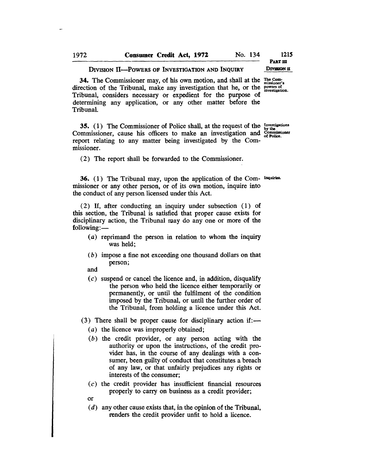#### DIVISION II-POWERS OF INVESTIGATION AND INQUIRY

DIVISION II

34. The Commissioner may, of his own motion, and shall at the  $_{misioner's}^{The Com-}$ direction of the Tribunal, make any investigation that he, or the powers of investigation. Tribunal, considers necessary or expedient for the purpose of determining any application, or any other matter before the Tribunal.

35. (1) The Commissioner of Police shall, at the request of the  $_{\text{hv}$ the Commissioner, cause his officers to make an investigation and  $\frac{\dot{G}}{\dot{G}}$  police report relating to any matter being investigated by the Commissioner.

(2) The report shall be forwarded to the Commissioner.

36. (1) The Tribunal may, upon the application of the Com- Inquiries. missioner or any other person, or of its own motion, inquire into the conduct of any person licensed under this Act.

(2) If, after conducting an inquiry under subsection (1) of this section, the Tribunal is satisfied that proper cause exists for disciplinary action, the Tribunal may do anyone or more of the  $following:$ 

- (a) reprimand the person in relation to whom the inquiry was held;
- $(b)$  impose a fine not exceeding one thousand dollars on that person;
- and
- $(c)$  suspend or cancel the licence and, in addition, disqualify the person who held the licence either temporarily or permanently, or until the fulfilment of the condition imposed by the Tribunal, or until the further order of the Tribunal, from holding a licence under this Act.
- $(3)$  There shall be proper cause for disciplinary action if:—
	- (a) the licence was improperly obtained;
	- (b) the credit provider, or any person acting with the authority or upon the instructions, of the credit provider has, in the course of any dealings with a consumer, been guilty of conduct that constitutes a breach of any law, or that unfairly prejudices any rights or interests of the consumer;
	- $(c)$  the credit provider has insufficient financial resources properly to carry on business as a credit provider;
	- or
	- $(d)$  any other cause exists that, in the opinion of the Tribunal, renders the credit provider unfit to hold a licence.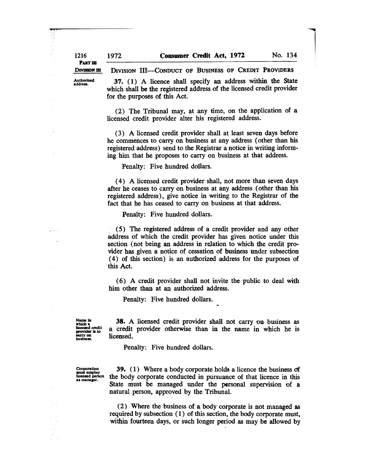PART III DIVISION III

"'it, Ik

 $\frac{1}{2}$  decreases

 $\boldsymbol{s}$ 

4000 年度

 $\frac{1}{2}$ 

DIVISION III-CONDUCT OF BUSINESS OF CREDIT PROVIDERS

Authorized address.

37. (1) A licence shall specify an address within the State which shall be the registered address of the licensed credit provider for the purposes of this Act.

l

(2) The Tribunal may, at any time, on the application of a licensed credit provider alter his registered address.

(3) A licensed credit provider shall at least seven days before he commences to carry on business at any address (other than his registered address) send to the Registrar a notice in writing informing him that he proposes to carry on business at that address.

Penalty: Five hundred dollars.

( 4) A licensed credit provider shall, not more than seven days after he ceases to carry on business at any address (other than his registered address), give notice in writing to the Registrar of the fact that he has ceased to carry on business at that address.

Penalty: Five hundred dollars.

(5) The registered address of a credit provider and any other address of which the credit provider has given notice under this section (not being an address in relation to which the credit provider has given a notice of cessation of business under subsection ( 4) of this section) is an authorized address for the purposes of this Act.

( 6) A credit provider shall not invite the public to deal with him other than at an authorized address.

Penalty: Five hundred dollars.

Name in<br>which a<br>licensed credit provider is to carry on<br>business.

38. A licensed credit provider shall not carry on business as a credit provider otherwise than in the name in which he is licensed.

Penalty: Five hundred dollars.

Corporation<br>must employ<br>licensed person<br>as manager.

39.  $(1)$  Where a body corporate holds a licence the business of the body corporate conducted in pursuance of that licence in this State must be managed under the personal supervision of a natural person, approved by the Tribunal.

(2) Where the business of a body corporate is not managed as required by subsection (1) of this section, the body corporate must, within fourteen days, or such longer period as may be allowed by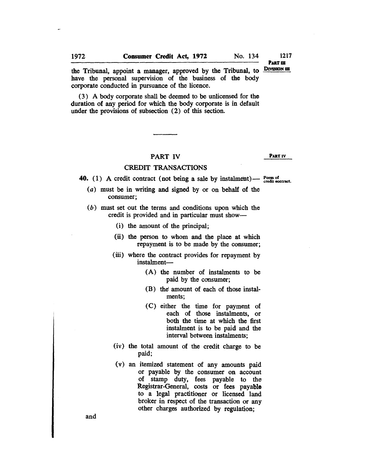PART<sub>III</sub> DIVISION III

1217

the Tribunal, appoint a manager, approved by the Tribunal, to have the personal supervision of the business of the body corporate conducted in pursuance of the licence.

(3) A body corporate shall be deemed to be unlicensed for the duration of any period for which the body corporate is in default under the provisions of subsection (2) of this section.

# PART IV CREDIT TRANSACTIONS

### PART IV

# 40. (1) A credit contract (not being a sale by instalment)  $-$  Form of credit contract.

- (a) must be in writing and signed by or on behalf of the consumer;
- (b) must set out the terms and conditions upon which the credit is provided and in particular must show-
	- (i) the amount of the principal;
	- (ii) the person to whom and the place at which repayment is to be made by the consumer;
	- (iii) where the contract provides for repayment by instalment-
		- (A) the number of instalments to be paid by the consumer;
		- (B) the' amount of each of those instalments;
		- (C) either the time for payment of each of those instalments, or both the time at which the first instalment is to be paid and the interval between instalments;
	- (iv) the total amount of the credit charge to be paid;
	- (v) an itemized statement of any amounts paid or payable by the consumer on account of stamp duty, fees payable to the Registrar-General, costs or fees payable to a legal practitioner or licensed land broker in respect of the transaction or any other charges authorized by regulation;

and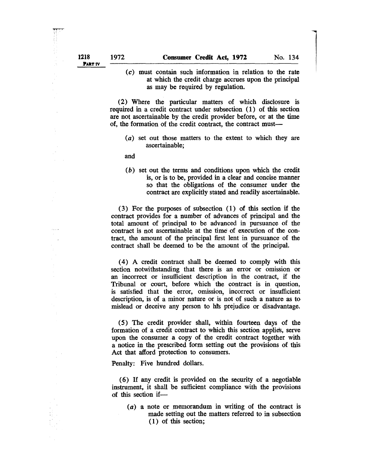1

(c) must contain such information in relation to the rate at which the credit charge accrues upon the principal as may be required by regulation.

(2) Where the particular matters of which disclosure is required in a credit contract under subsection (1) of this section are not ascertainable by the credit provider before, or at the time of, the formation of the credit contract, the contract must-

(a) set out those matters to the extent to which they are ascertainable;

and

(b) set out the terms and conditions upon which the credit is, or is to be, provided in a clear and concise manner so that the obligations of the consumer under the contract are explicitly stated and readily ascertainable.

(3) For the purposes of subsection (1) of this section if the contract provides for a number of advances of principal and the total amount of principal to be advanced in pursuance of the contract is not ascertainable at the time of execution of the contract, the amount of the principal first lent in pursuance of the contract shall be deemed to be the amount of the principal.

( 4) A credit contract shall be deemed to comply with this section notwithstanding that there is an error or omission or an incorrect or insufficient description in the contract, if the Tribunal or court, before which the contract is in question, is satisfied that the error, omission, incorrect or insufficient description, is of a minor nature or is not of such a nature as to mislead or deceive any person to his prejudice or disadvantage.

(5) The credit provider shall, within fourteen days of the formation of a credit contract to which this section applies, serve upon the consumer a copy of the credit contract together with a notice in the prescribed form setting out the provisions of this Act that afford protection to consumers.

Penalty: Five hundred dollars.

(6) If any credit is provided on the security of a negotiable instrument, it shall be sufficient compliance with the provisions of this section if-

(a) a note or memorandum in writing of the contract is made setting out the matters referred to in subsection (1) of this section;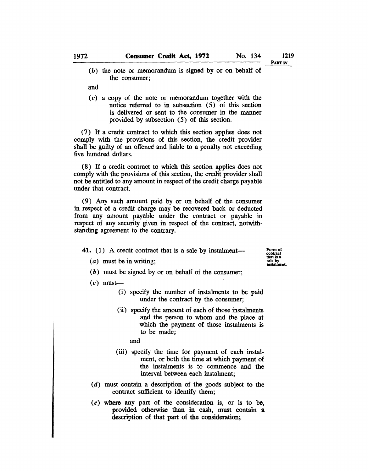PART IV

(b) the note or memorandum is signed by or on behalf of the consumer;

and

 $(c)$  a copy of the note or memorandum together with the notice referred to in subsection (5) of this section is delivered or sent to the consumer in the manner provided by subsection (5) of this section.

(7) If a credit contract to which this section applies does not comply with the provisions of this section, the credit provider shall be guilty of an offence and liable to a penalty not exceeding five hundred dollars.

(8) If a credit contract to which this section applies does not comply with the provisions of this section, the credit provider shall not be entitled to any amount in respect of the credit charge payable under that contract.

(9) Any such amount paid by or on behalf of the consumer in respect of a credit charge may be recovered back or deducted from any amount payable under the contract or payable in respect of any security given in respect of the contract, notwithstanding agreement to the contrary.

41. (1) A credit contract that is a sale by instalment-

contract<br>that is a iale by instalment.

- (a) must be in writing;
- (b) must be signed by or on behalf of the consumer;
- $(c)$  must-
	- (i) specify the number of instalments to be paid under the contract by the consumer;
	- (ii) specify the amount of each of those instalments and the person to whom and the place at which the payment of those instalments is to be made;

and

- (iii) specify the time for payment of each instalment, or both the time at which payment of the instalments is to commence and the interval between each instalment;
- (d) must contain a description of the goods subject to the contract sufficient to identify them;
- (e) where any part of the consideration is, or is to be, provided otherwise than in cash, must contain a description of that part of the consideration;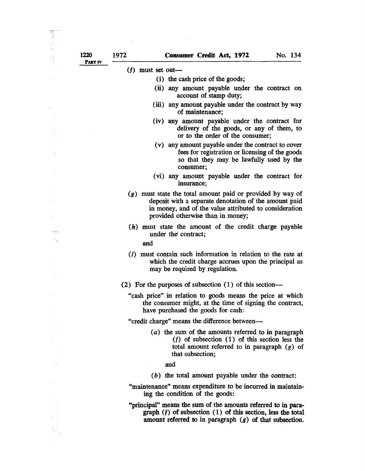PART IV

### $(f)$  must set out-

- (i) the cash price of the goods;
- (ii) any amount payable under the contract on account of stamp duty;
- (iii) any amount payable under the contract by way of maintenance;
- (iv) any amount payable under the contract for delivery of the goods, or any of them, to or to the order of the consumer;
- (v) any amount payable under the contract to cover fees for registration or licensing of the goods so that they may be lawfully used by the consumer;
- (vi) any amount payable under the contract for insurance;
- *(g)* must state the total amount paid or provided by way of deposit with a separate denotation of the amount paid in money, and of the value attributed to consideration provided otherwise than in money;
- (h) must state the amount of the credit charge payable under the contract;

and

- (i) must contain such information in relation to the rate at which the credit charge accrues upon the principal as may be required by regulation.
- (2) For the purposes of subsection (1) of this section-
	- "cash price" in relation to goods means the price at which the consumer might, at the time of signing the contract, have purchased the goods for cash:

"credit charge" means the difference between-

- (a) the sum of the amounts referred to in paragraph *(I)* of subsection (1) of this section less the total amount referred to in paragraph  $(g)$  of that subsection;
	- and
- $(b)$  the total amount payable under the contract:
- "maintenance" means expenditure to be incurred in maintaining the condition of the goods:
- "principal" means the sum of the amounts referred to in paragraph  $(f)$  of subsection  $(1)$  of this section, less the total amount referred to in paragraph  $(g)$  of that subsection.

.,'::' .

in post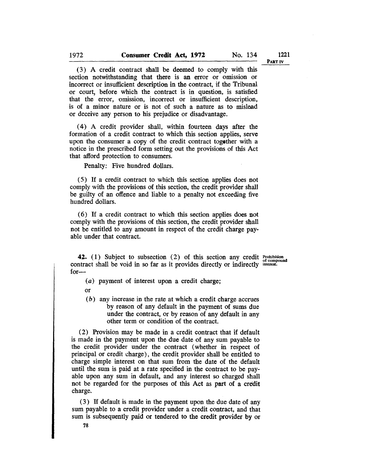(3) A credit contract shall be deemed to comply with this section notwithstanding that there is an error or omission or incorrect or insufficient description in the contract, if the Tribunal or court, before which the contract is in question, is satisfied that the error, omission, incorrect or insufficient description, is of a minor nature or is not of such a nature as to mislead or deceive any person to his prejudice or disadvantage.

( 4) A credit provider shall, within fourteen days after the formation of a credit contract to which this section applies, serve upon the consumer a copy of the credit contract together with a notice in the prescribed form setting out the provisions of this Act that afford protection to consumers.

Penalty; Five hundred dollars.

(5) If a credit contract to which this section applies does not comply with the provisions of this section, the credit provider shall be guilty of an offence and liable to a penalty not exceeding five hundred dollars.

(6) If a credit contract to which this section applies does not comply with the provisions of this section, the credit provider shall not be entitled to any amount in respect of the credit charge payable under that contract.

42. (1) Subject to subsection (2) of this section any credit contract shall be void in so far as it provides directly or indirectly for-

Prohibition of compound interest.

(a) payment of interest upon a credit charge;

or

 $(b)$  any increase in the rate at which a credit charge accrues by reason of any default in the payment of sums due under the contract, or by reason of any default in any other term or condition of the contract.

(2) Provision may be made in a credit contract that if default is made in the payment upon the due date of any sum payable to the credit provider under the contract (whether in respect of principal or credit charge), the credit provider shall be entitled to charge simple interest on that sum from the date of the default until the sum is paid at a rate specified in the contract to be payable upon any sum in default, and any interest so charged shall not be regarded for the purposes of this Act as part of a credit charge.

(3) If default is made in the payment upon the due date of any sum payable to a credit provider under a credit contract, and that sum is subsequently paid or tendered to the credit provider by or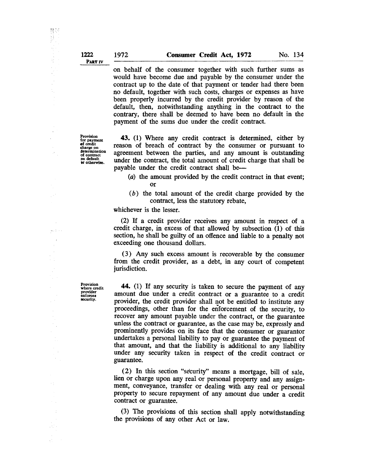on behalf of the consumer together with such further sums as would have become due and payable by the consumer under the contract up to the date of that payment or tender had there been no default, together with such costs, charges or expenses as have been properly incurred by the credit provider by reason of the default, then, notwithstanding anything in the contract to the contrary, there shall be deemed to have been no default in the payment of the sums due under the credit contract.

Provision<br>for payment<br>of credit charge on<br>determination of contract<br>
on default<br>
or otherwise.

43. (1) Where any credit contract is determined, either by reason of breach of contract by the consumer or pursuant to agreement between the parties, and any amount is outstanding under the contract, the total amount of credit charge that shall be payable under the credit contract shall be-

- (a) the amount provided by the credit contract in that event; or
- (b) the total amount of the credit charge provided by the contract, less the statutory rebate,

whichever is the lesser.

(2) If a credit provider receives any amount in respect of a credit charge, in excess of that allowed by subsection (1) of this section, he shall be guilty of an offence and liable to a penalty not exceeding one thousand dollars.

(3) Any such excess amount is recoverable by the consumer from the credit provider, as a debt, in any court of competent jurisdiction.

44. (1) If any security is taken to secure the payment of any amount due under a credit contract or a guarantee to a credit provider, the credit provider shall not be entitled to institute any proceedings, other than for the enforcement of the security, to recover any amount payable under the contract, or the guarantee unless the contract or guarantee, as the case may be, expressly and prominently provides on its face that the consumer or guarantor undertakes a personal liability to payor guarantee the payment of that amount, and that the liability is additional to any liability under any security taken in respect of the credit contract or guarantee.

(2) In this section "selcurity" means a mortgage, bill of sale, lien or charge upon any real or personal property and any assignment, conveyance, transfer or dealing with any real or personal property to secure repayment of any amount due under a credit contract or guarantee.

(3) The provisions of this section shall apply notwithstanding the provisions of any other Act or law.

Provision where credit provider enforces security.

野药 

1474年

 $\bar{\mathcal{A}}$ 

 $\mathcal{L}_{\mathrm{in}}$  $\label{eq:1} \left\langle \hat{\theta}(\omega), \hat{\hat{\theta}}(\omega)\right\rangle \to 0$ 

> $\hat{\psi}$  $\bar{z}$

 $\zeta\to$ 

N.

 $\mathbb{Z}^{n+1}$  .

 $\sim 10$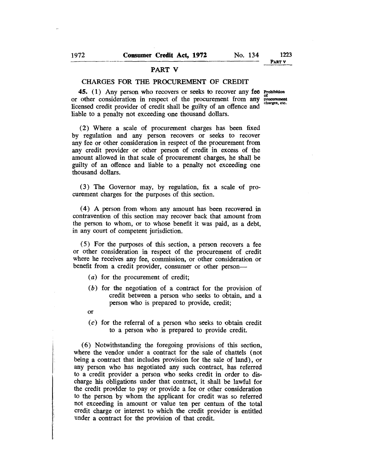## PART V

### CHARGES FOR THE PROCUREMENT OF CREDIT

45. (1) Any person who recovers or seeks to recover any fee Prohibition or other consideration in respect of the procurement from any licensed credit provider of credit shall be guilty of an offence and liable to a penalty not exceeding one thousand dollars. of procurement charges, etc.

(2) Where a scale of procurement charges has been fixed by regulation and any person recovers or seeks to recover any fee or other consideration in respect of the procurement from any credit provider or other person of credit in excess of the amount allowed in that scale of procurement charges, he shall be guilty of an offence and liable to a penalty not exceeding one thousand dollars.

(3) The Governor may, by regulation, fix a scale of procurement charges for the purposes of this section.

( 4) A person from whom any amount has been recovered in contravention of this section may recover back that amount from the person to whom, or to whose benefit it was paid, as a debt, in any court of competent jurisdiction.

(5) For the purposes of this section, a person recovers a fee or other consideration in respect of the procurement of credit where he receives any fee, commission, or other consideration or benefit from a credit provider, consumer or other person-

- (a) for the procurement of credit;
- (b) for the negotiation of a contract for the provision of credit between a person who seeks to obtain, and a person who is prepared to provide, credit;
- or

i<br>Participants and the second second second second second second second second second second second second second second second second second second second second second second second second second second second second sec

(c) for the referral of a person who seeks to obtain credit to a person who is prepared to provide credit.

(6) Notwithstanding the foregoing provisions of this section, where the vendor under a contract for the sale of chattels (not being a contract that includes provision for the sale of land), or any person who has negotiated any such contract, has referred to a credit provider a person who seeks credit in order to discharge his obligations under that contract, it shall be lawful for the credit provider to payor provide a fee or other consideration to the person by whom the applicant for credit was so referred not exceeding in amount or value ten per centum of the total credit charge or interest to which the credit provider is entitled under a contract for the provision of that credit.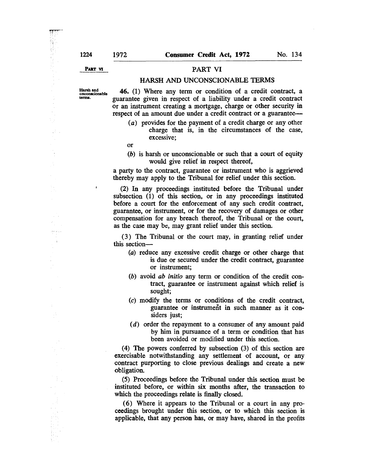PART VI

# PART VI

## HARSH AND UNCONSCIONABLE TERMS

Harsh and uDConscionable terms.

ł

46. (1) Where any term or condition of a credit contract, a guarantee given in respect of a liability under a credit contract or an instrument creating a mortgage, charge or other security in respect of an amount due under a credit contract or a guarantee-

(a) provides for the payment of a credit charge or any other charge that is, in the circumstances of the case, excessive;

or

(b) is harsh or unconscionable or such that a court of equity would give relief in respect thereof,

a party to the contract, guarantee or instrument who is aggrieved thereby may apply to the Tribunal for relief under this section.

(2) In any proceedings instituted before the Tribunal under subsection (1) of this section, or in any proceedings instituted before a court for the enforcement of any such credit contract, guarantee, or instrument, or for the recovery of damages or other compensation for any breach thereof, the Tribunal or the court, as the case may be, may grant relief under this section.

(3) The Tribunal or the court may, in granting relief under this section-

- (a) reduce any excessive credit charge or other charge that is due or secured under the credit contract, guarantee or instrument;
- *(b)* avoid *ab initio* any term or condition of the credit contract, guarantee or instrument against which relief is sought;
- (c) modify the terms or conditions of the credit contract, guarantee or instrument in such manner as it considers just;
- (d) order the repayment to a consumer of any amount paid by him in pursuance of a term or condition that has been avoided or modified under this section.

(4) The powers conferred by subsection (3) of this section are exercisable notwithstanding any settlement of account, or any contract purporting to close previous dealings and create a new obligation.

(5) Proceedings before the Tribunal under this section must be instituted before, or within six months after, the transaction to which the proceedings relate is finally closed.

( 6) Where it appears to the Tribunal or a court in any proceedings brought under this section, or to which this section is applicable, that any person has, or may have, shared in the profits

Ç,

des le la la<br>L  $\frac{1}{4}$ 

÷  $\varphi\rightarrow 0$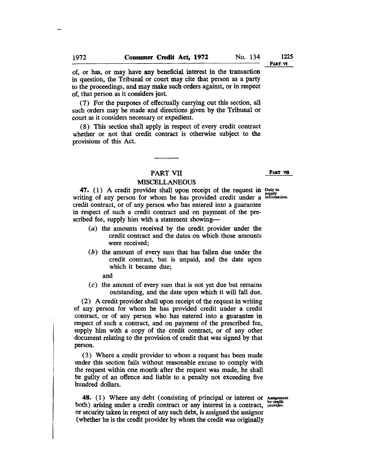of, or has, or may have any beneficial interest in the transaction in question, the Tribunal or court may cite that person as a party to the proceedings, and may make such orders against, or in respect of, that person as it considers just.

(7) For the purposes of effectually carrying out this section, all such orders may be made and directions given by the Tribunal or court as it considers necessary or expedient.

(8) This section shall apply in respect of every credit contract whether or not that credit contract is otherwise subject to the provisions of this Act.

# PART VII

### MISCELLANEOUS

47. (1) A credit provider shall upon receipt of the request in Duty to writing of any person for whom he has provided credit under a information. credit contract, or of any person who has entered into a guarantee in respect of such a credit contract and on payment of the prescribed fee, supply him with a statement showing-

- (a) the amounts received by the credit provider under the credit contract and the dates on which those amounts were received;
- (b) the amount of every sum that has fallen due under the credit contract, but is unpaid, and the date upon which it became due;

and

(c) the amount of every sum that is not yet due but remains outstanding, and the date upon which it will fall due.

(2) A credit provider shall upon receipt of the request in writing of any person for whom he has provided credit under a credit contract, or of any person who has entered into a guarantee in respect of such a contract, and on payment of the prescribed fee, supply him with a copy of the credit contract, or of any other document relating to the provision of credit that was signed by that person.

(3) Where a credit provider to whom a request has been made under this section fails without reasonable excuse to comply with the request within one month after the request was made, he shall be guilty of an offence and liable to a penalty not exceeding five hundred dollars.

48. (1) Where any debt (consisting of principal or interest or Assignment both) arising under a credit contract or any interest in a contract, provider. or security taken in respect of any such debt, is assigned the assignor (whether he is the credit provider by whom the credit was originally

PART VII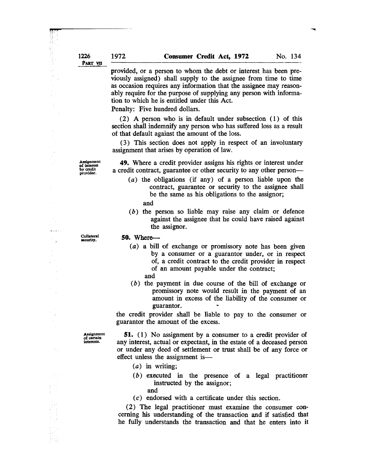provided, or a person to whom the debt or interest has been previously assigned) shall supply to the assignee from time to time as occasion requires any information that the assignee may reasonably require for the purpose of supplying any person with information to which he is entitled under this Act.

Penalty: Five hundred dollars.

(2) A person who is in default under subsection (1) of this section shall indemnify any person who has suffered loss as a result of that default against the amount of the loss.

(3) This section does not apply in respect of an involuntary assignment that arises by operation of law.

**Assignment** of interest by credit provider.

Â,  $\frac{1}{2}$ 

N,  $\mathcal{L}_{\mathbf{R}}$  and  $\mathcal{L}_{\mathbf{R}}$  $\overline{1}$ 

 $\bar{z}$ 

 $\sim$  .

 $\mathbb{Z}_2^*$ 

49. Where a credit provider assigns his rights or interest under a credit contract, guarantee or other security to any other person-

(a) the obligations (if any) of a person liable upon the contract, guarantee or security to the assignee shall be the same as his obligations to the assignor;

and

(b) the person so liable may raise any claim or defence against the assignee that he could have raised against the assignor.

Collateral security.

#### 50. Where-

- (a) a bill of exchange or promissory note has been given by a consumer or a guarantor under, or in respect of, a credit contract to the credit provider in respect of an amount payable under the contract;
	- and
- (b) the payment in due course of the bill of exchange or promissory note would result in the payment of an amount in excess of the liability of the consumer or guarantor.

the credit provider shall be liable to pay to the consumer or guarantor the amount of the excess.

Assignment of certain interests.

51. (1) No assignment by a consumer to a credit provider of any interest, actual or expectant, in the estate of a deceased person or under any deed of settlement or trust shall be of any force or effect unless the assignment is-

- $(a)$  in writing;
- (b) executed in the presence of a legal practitioner instructed by the assignor;
	- and
- (c) endorsed with a certificate under this section.

(2) The legal practitioner must examine the consumer concerning his understanding of the transaction and if satisfied that he fully understands the transaction and that he enters into it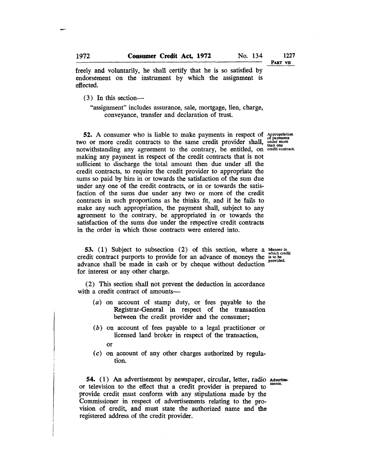PART VII

freely and voluntarily, he shall certify that he is so satisfied by endorsement on the instrument by which the assignment is effected.

(3) In this section-

"assignment" includes assurance, sale, mortgage, lien, charge, conveyance, transfer and declaration of trust.

52. A consumer who is liable to make payments in respect of two or more credit contracts to the same credit provider shall, notwithstanding any agreement to the contrary, be entitled, on credit contract. making any payment in respect of the credit contracts that is not sufficient to discharge the total amount then due under. all the credit contracts, to require the credit provider to appropriate the sums so paid by him in or towards the satisfaction of the sum due under any one of the credit contracts, or in or towards the satisfaction of the sums due under any two or more of the credit contracts in such proportions as he thinks fit, and if he fails to make any such appropriation, the payment shall, subject to any agreement to the contrary, be appropriated in or towards the satisfaction of the sums due under the respective credit contracts in the order in which those contracts were entered into.

Appropriation of payments under more than one credit contract.

53. (1) Subject to subsection (2) of this section, where a Manner in. • credit contract purports to provide for an advance of moneys the is to be provided. advance shall be made in cash or by cheque without deduction for interest or any other charge.

(2) This section shall not prevent the deduction in accordance with a credit contract of amounts—

- (a) on account of stamp duty, or fees payable to the Registrar-General in respect of the transaction between the credit provider and the consumer;
- (b) on account of fees payable to a legal practitioner or licensed land broker in respect of the transaction,
	- or
- (c) on account of any other charges authorized by regulation.

54. (1) An advertisement by newspaper, circular, letter, radio Advertiseor television to the effect that a credit provider is prepared to provide credit must conform with any stipulations made by the Commissioner in respect of advertisements relating to the provision of credit, and must state the authorized name and the registered address of the credit provider.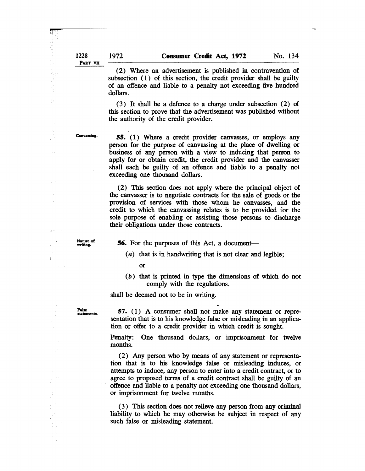(2) Where an advertisement is published in contravention of subsection (1) of this section, the credit provider shall be guilty of an offence and liable to a penalty not exceeding five hundred dollars.

(3) It shall be a defence to a charge under subsection (2) of this section to prove that the advertisement was published without the authority of the credit provider.

Canvassing.

 $\mathcal{L}_{\mathbf{A}}$ 

.<br>Sedan

ЦÝ,  $\bar{z}$ ÷.

55. ( 1) Where a credit provider canvasses, or employs any person for the purpose of canvassing at the place of dwelling or business of any person with a view to inducing that person to apply for or obtain credit, the credit provider and the canvasser shall each be guilty of an offence and liable to a penalty not exceeding one thousand dollars.

(2) This section does not apply where the principal object of the canvasser is to negotiate contracts for the sale of goods or the provision of services with those whom he canvasses, and the credit to which the canvassing relates is to be provided for the sole purpose of enabling or assisting those persons to discharge their obligations under those contracts.

Nature of writing.

**56.** For the purposes of this Act, a document-

(a) that is in handwriting that is not clear and legible;

or

(b) that is printed in type the dimensions of which do not comply with the regulations.

shall be deemed not to be in writing.

Fahe statements

57. (1) A consumer shall not make any statement or representation that is to his knowledge false or misleading in an application or offer to a credit provider in which credit is sought.

Penalty: One thousand dollars, or imprisonment for twelve months.

(2) Any person who by means of any statement or representation that is to his knowledge false or misleading induces, or attempts to induce, any person to enter into a credit contract, or to agree to proposed terms of a credit contract shall be guilty of an offence and liable to a penalty not exceeding one thousand dollars, or imprisonment for twelve months.

(3) This section does not relieve any person from any criminal liability to which he may otherwise be subject in respect of any such false or misleading statement.

PART VII

1228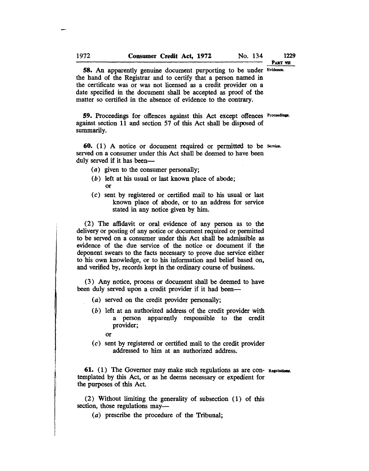PART VII

58. An apparently genuine document purporting to be under Evidence. the hand of the Registrar and to certify that a person named in the certificate was or was not licensed as a credit provider on a date specified in the document shall be accepted as proof of the matter so certified in the absence of evidence to the contrary.

59. Proceedings for offences against this Act except offences Proceedings. against section 11 and section 57 of this Act shall be disposed of summarily.

60. ( 1) A notice or document required or permitted to be Service. served on a consumer under this Act shall be deemed to have been duly served if it has been—

- (a) given to the consumer personally;
- (b) left at his usual or last known place of abode; or
- (c) sent by registered or certified mail to his usual or last known place of abode, or to an address for service stated in any notice given by him.

(2) The affidavit or oral evidence of any person as to the delivery or posting of any notice or document required or permitted to be served on a consumer under this Act shall be admissible as evidence of the due service of the notice or document if the deponent swears to the facts necessary to prove due service either to his own know ledge, or to his information and belief based on, and verified by, records kept in the ordinary course of business.

(3) Any notice, process or document shall be deemed to have been duly served upon a credit provider if it had been-

- (a) served on the credit provider personally;
- (b) left at an authorized address of the credit provider with a person apparently responsible to the credit provider;
	- or

i<br>E

(c) sent by registered or certified mail to the credit provider addressed to him at an authorized address.

61. (1) The Governor may make such regulations as are con- Regulations. templated by this Act, or as he deems necessary or expedient for the purposes of this Act.

(2) Without limiting the generality of subsection (1) of this section, those regulations may—

(a) prescribe the procedure of the Tribunal;